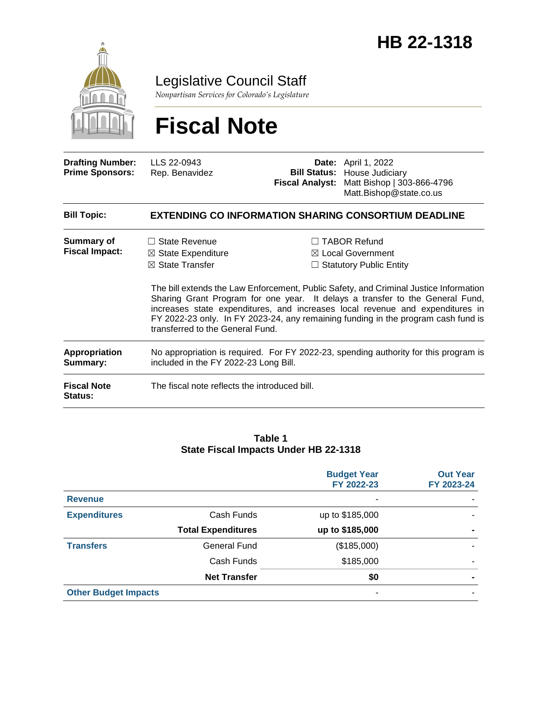

Legislative Council Staff

*Nonpartisan Services for Colorado's Legislature*

# **Fiscal Note**

| <b>Drafting Number:</b><br><b>Prime Sponsors:</b> | LLS 22-0943<br>Rep. Benavidez                                                                                                 |  | <b>Date:</b> April 1, 2022<br><b>Bill Status: House Judiciary</b><br>Fiscal Analyst: Matt Bishop   303-866-4796<br>Matt.Bishop@state.co.us                                                                                                                                                                                                                                                                                            |  |  |
|---------------------------------------------------|-------------------------------------------------------------------------------------------------------------------------------|--|---------------------------------------------------------------------------------------------------------------------------------------------------------------------------------------------------------------------------------------------------------------------------------------------------------------------------------------------------------------------------------------------------------------------------------------|--|--|
| <b>Bill Topic:</b>                                | <b>EXTENDING CO INFORMATION SHARING CONSORTIUM DEADLINE</b>                                                                   |  |                                                                                                                                                                                                                                                                                                                                                                                                                                       |  |  |
| <b>Summary of</b><br><b>Fiscal Impact:</b>        | $\Box$ State Revenue<br>$\boxtimes$ State Expenditure<br>$\boxtimes$ State Transfer<br>transferred to the General Fund.       |  | $\Box$ TABOR Refund<br>$\boxtimes$ Local Government<br>$\Box$ Statutory Public Entity<br>The bill extends the Law Enforcement, Public Safety, and Criminal Justice Information<br>Sharing Grant Program for one year. It delays a transfer to the General Fund,<br>increases state expenditures, and increases local revenue and expenditures in<br>FY 2022-23 only. In FY 2023-24, any remaining funding in the program cash fund is |  |  |
| Appropriation<br>Summary:                         | No appropriation is required. For FY 2022-23, spending authority for this program is<br>included in the FY 2022-23 Long Bill. |  |                                                                                                                                                                                                                                                                                                                                                                                                                                       |  |  |
| <b>Fiscal Note</b><br><b>Status:</b>              | The fiscal note reflects the introduced bill.                                                                                 |  |                                                                                                                                                                                                                                                                                                                                                                                                                                       |  |  |

#### **Table 1 State Fiscal Impacts Under HB 22-1318**

|                             |                           | <b>Budget Year</b><br>FY 2022-23 | <b>Out Year</b><br>FY 2023-24 |
|-----------------------------|---------------------------|----------------------------------|-------------------------------|
| <b>Revenue</b>              |                           |                                  |                               |
| <b>Expenditures</b>         | Cash Funds                | up to \$185,000                  |                               |
|                             | <b>Total Expenditures</b> | up to \$185,000                  | ۰                             |
| <b>Transfers</b>            | General Fund              | (\$185,000)                      |                               |
|                             | Cash Funds                | \$185,000                        |                               |
|                             | <b>Net Transfer</b>       | \$0                              |                               |
| <b>Other Budget Impacts</b> |                           | ۰                                |                               |